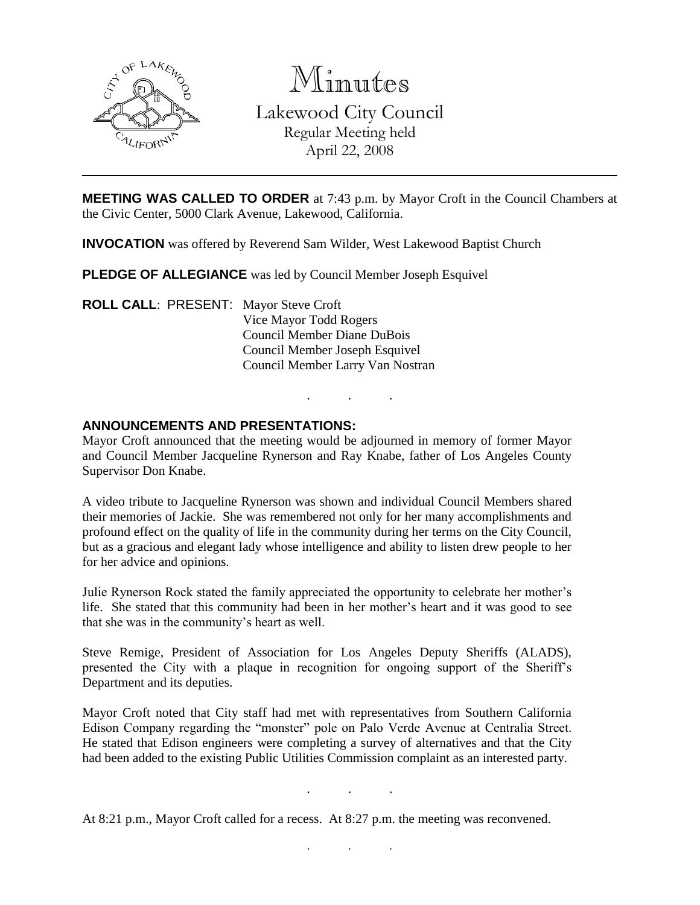

Minutes Lakewood City Council Regular Meeting held April 22, 2008

**MEETING WAS CALLED TO ORDER** at 7:43 p.m. by Mayor Croft in the Council Chambers at the Civic Center, 5000 Clark Avenue, Lakewood, California.

**INVOCATION** was offered by Reverend Sam Wilder, West Lakewood Baptist Church

**PLEDGE OF ALLEGIANCE** was led by Council Member Joseph Esquivel

**ROLL CALL**: PRESENT: Mayor Steve Croft Vice Mayor Todd Rogers Council Member Diane DuBois Council Member Joseph Esquivel Council Member Larry Van Nostran

### **ANNOUNCEMENTS AND PRESENTATIONS:**

Mayor Croft announced that the meeting would be adjourned in memory of former Mayor and Council Member Jacqueline Rynerson and Ray Knabe, father of Los Angeles County Supervisor Don Knabe.

. . .

A video tribute to Jacqueline Rynerson was shown and individual Council Members shared their memories of Jackie. She was remembered not only for her many accomplishments and profound effect on the quality of life in the community during her terms on the City Council, but as a gracious and elegant lady whose intelligence and ability to listen drew people to her for her advice and opinions.

Julie Rynerson Rock stated the family appreciated the opportunity to celebrate her mother's life. She stated that this community had been in her mother's heart and it was good to see that she was in the community's heart as well.

Steve Remige, President of Association for Los Angeles Deputy Sheriffs (ALADS), presented the City with a plaque in recognition for ongoing support of the Sheriff's Department and its deputies.

Mayor Croft noted that City staff had met with representatives from Southern California Edison Company regarding the "monster" pole on Palo Verde Avenue at Centralia Street. He stated that Edison engineers were completing a survey of alternatives and that the City had been added to the existing Public Utilities Commission complaint as an interested party.

. . .

. . .

At 8:21 p.m., Mayor Croft called for a recess. At 8:27 p.m. the meeting was reconvened.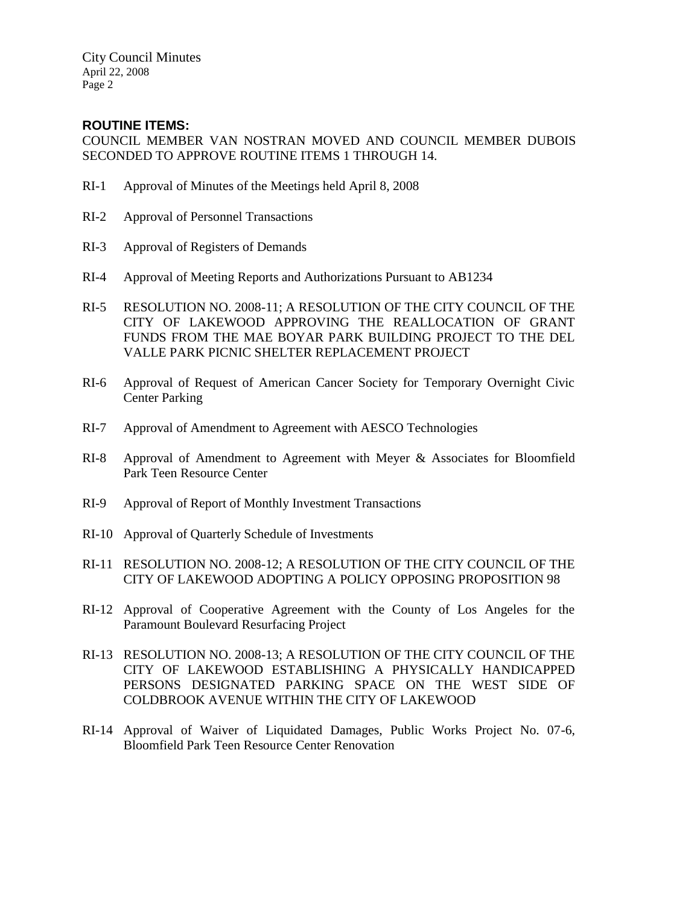City Council Minutes April 22, 2008 Page 2

## **ROUTINE ITEMS:**

COUNCIL MEMBER VAN NOSTRAN MOVED AND COUNCIL MEMBER DUBOIS SECONDED TO APPROVE ROUTINE ITEMS 1 THROUGH 14.

- RI-1 Approval of Minutes of the Meetings held April 8, 2008
- RI-2 Approval of Personnel Transactions
- RI-3 Approval of Registers of Demands
- RI-4 Approval of Meeting Reports and Authorizations Pursuant to AB1234
- RI-5 RESOLUTION NO. 2008-11; A RESOLUTION OF THE CITY COUNCIL OF THE CITY OF LAKEWOOD APPROVING THE REALLOCATION OF GRANT FUNDS FROM THE MAE BOYAR PARK BUILDING PROJECT TO THE DEL VALLE PARK PICNIC SHELTER REPLACEMENT PROJECT
- RI-6 Approval of Request of American Cancer Society for Temporary Overnight Civic Center Parking
- RI-7 Approval of Amendment to Agreement with AESCO Technologies
- RI-8 Approval of Amendment to Agreement with Meyer & Associates for Bloomfield Park Teen Resource Center
- RI-9 Approval of Report of Monthly Investment Transactions
- RI-10 Approval of Quarterly Schedule of Investments
- RI-11 RESOLUTION NO. 2008-12; A RESOLUTION OF THE CITY COUNCIL OF THE CITY OF LAKEWOOD ADOPTING A POLICY OPPOSING PROPOSITION 98
- RI-12 Approval of Cooperative Agreement with the County of Los Angeles for the Paramount Boulevard Resurfacing Project
- RI-13 RESOLUTION NO. 2008-13; A RESOLUTION OF THE CITY COUNCIL OF THE CITY OF LAKEWOOD ESTABLISHING A PHYSICALLY HANDICAPPED PERSONS DESIGNATED PARKING SPACE ON THE WEST SIDE OF COLDBROOK AVENUE WITHIN THE CITY OF LAKEWOOD
- RI-14 Approval of Waiver of Liquidated Damages, Public Works Project No. 07-6, Bloomfield Park Teen Resource Center Renovation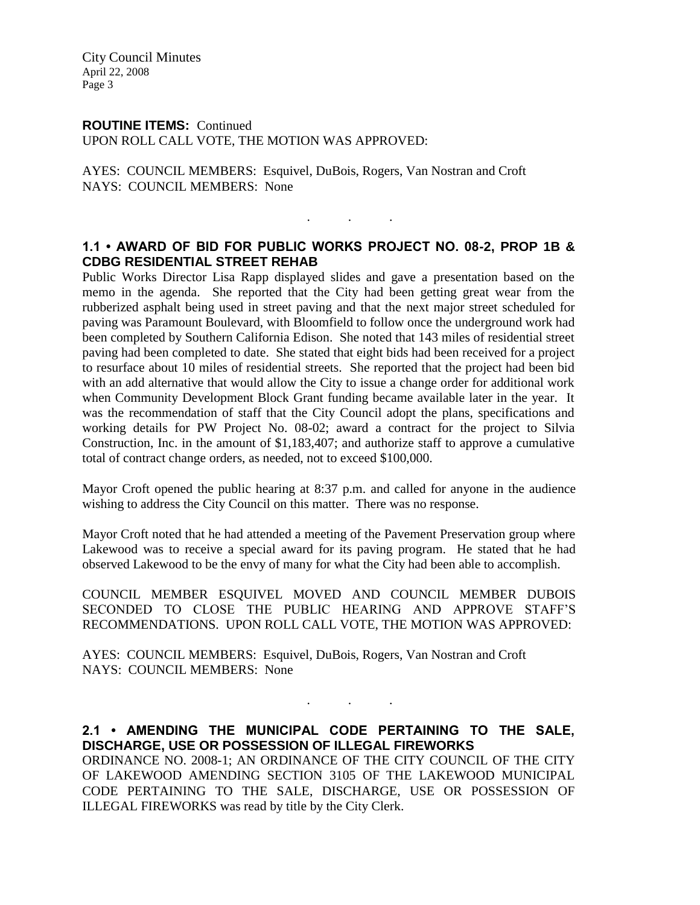City Council Minutes April 22, 2008 Page 3

### **ROUTINE ITEMS:** Continued

UPON ROLL CALL VOTE, THE MOTION WAS APPROVED:

AYES: COUNCIL MEMBERS: Esquivel, DuBois, Rogers, Van Nostran and Croft NAYS: COUNCIL MEMBERS: None

### **1.1 • AWARD OF BID FOR PUBLIC WORKS PROJECT NO. 08-2, PROP 1B & CDBG RESIDENTIAL STREET REHAB**

. . .

Public Works Director Lisa Rapp displayed slides and gave a presentation based on the memo in the agenda. She reported that the City had been getting great wear from the rubberized asphalt being used in street paving and that the next major street scheduled for paving was Paramount Boulevard, with Bloomfield to follow once the underground work had been completed by Southern California Edison. She noted that 143 miles of residential street paving had been completed to date. She stated that eight bids had been received for a project to resurface about 10 miles of residential streets. She reported that the project had been bid with an add alternative that would allow the City to issue a change order for additional work when Community Development Block Grant funding became available later in the year. It was the recommendation of staff that the City Council adopt the plans, specifications and working details for PW Project No. 08-02; award a contract for the project to Silvia Construction, Inc. in the amount of \$1,183,407; and authorize staff to approve a cumulative total of contract change orders, as needed, not to exceed \$100,000.

Mayor Croft opened the public hearing at 8:37 p.m. and called for anyone in the audience wishing to address the City Council on this matter. There was no response.

Mayor Croft noted that he had attended a meeting of the Pavement Preservation group where Lakewood was to receive a special award for its paving program. He stated that he had observed Lakewood to be the envy of many for what the City had been able to accomplish.

COUNCIL MEMBER ESQUIVEL MOVED AND COUNCIL MEMBER DUBOIS SECONDED TO CLOSE THE PUBLIC HEARING AND APPROVE STAFF'S RECOMMENDATIONS. UPON ROLL CALL VOTE, THE MOTION WAS APPROVED:

AYES: COUNCIL MEMBERS: Esquivel, DuBois, Rogers, Van Nostran and Croft NAYS: COUNCIL MEMBERS: None

**2.1 • AMENDING THE MUNICIPAL CODE PERTAINING TO THE SALE, DISCHARGE, USE OR POSSESSION OF ILLEGAL FIREWORKS**

. . .

ORDINANCE NO. 2008-1; AN ORDINANCE OF THE CITY COUNCIL OF THE CITY OF LAKEWOOD AMENDING SECTION 3105 OF THE LAKEWOOD MUNICIPAL CODE PERTAINING TO THE SALE, DISCHARGE, USE OR POSSESSION OF ILLEGAL FIREWORKS was read by title by the City Clerk.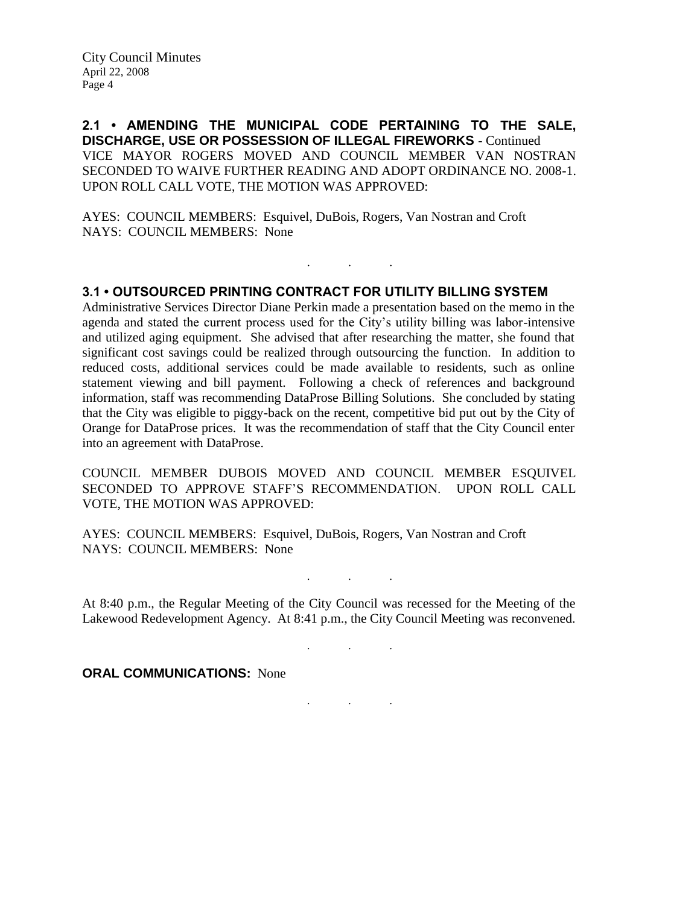**2.1 • AMENDING THE MUNICIPAL CODE PERTAINING TO THE SALE, DISCHARGE, USE OR POSSESSION OF ILLEGAL FIREWORKS** - Continued VICE MAYOR ROGERS MOVED AND COUNCIL MEMBER VAN NOSTRAN SECONDED TO WAIVE FURTHER READING AND ADOPT ORDINANCE NO. 2008-1. UPON ROLL CALL VOTE, THE MOTION WAS APPROVED:

AYES: COUNCIL MEMBERS: Esquivel, DuBois, Rogers, Van Nostran and Croft NAYS: COUNCIL MEMBERS: None

#### **3.1 • OUTSOURCED PRINTING CONTRACT FOR UTILITY BILLING SYSTEM**

. . .

Administrative Services Director Diane Perkin made a presentation based on the memo in the agenda and stated the current process used for the City's utility billing was labor-intensive and utilized aging equipment. She advised that after researching the matter, she found that significant cost savings could be realized through outsourcing the function. In addition to reduced costs, additional services could be made available to residents, such as online statement viewing and bill payment. Following a check of references and background information, staff was recommending DataProse Billing Solutions. She concluded by stating that the City was eligible to piggy-back on the recent, competitive bid put out by the City of Orange for DataProse prices. It was the recommendation of staff that the City Council enter into an agreement with DataProse.

COUNCIL MEMBER DUBOIS MOVED AND COUNCIL MEMBER ESQUIVEL SECONDED TO APPROVE STAFF'S RECOMMENDATION. UPON ROLL CALL VOTE, THE MOTION WAS APPROVED:

AYES: COUNCIL MEMBERS: Esquivel, DuBois, Rogers, Van Nostran and Croft NAYS: COUNCIL MEMBERS: None

At 8:40 p.m., the Regular Meeting of the City Council was recessed for the Meeting of the Lakewood Redevelopment Agency. At 8:41 p.m., the City Council Meeting was reconvened.

. . .

. . .

. . .

**ORAL COMMUNICATIONS:** None